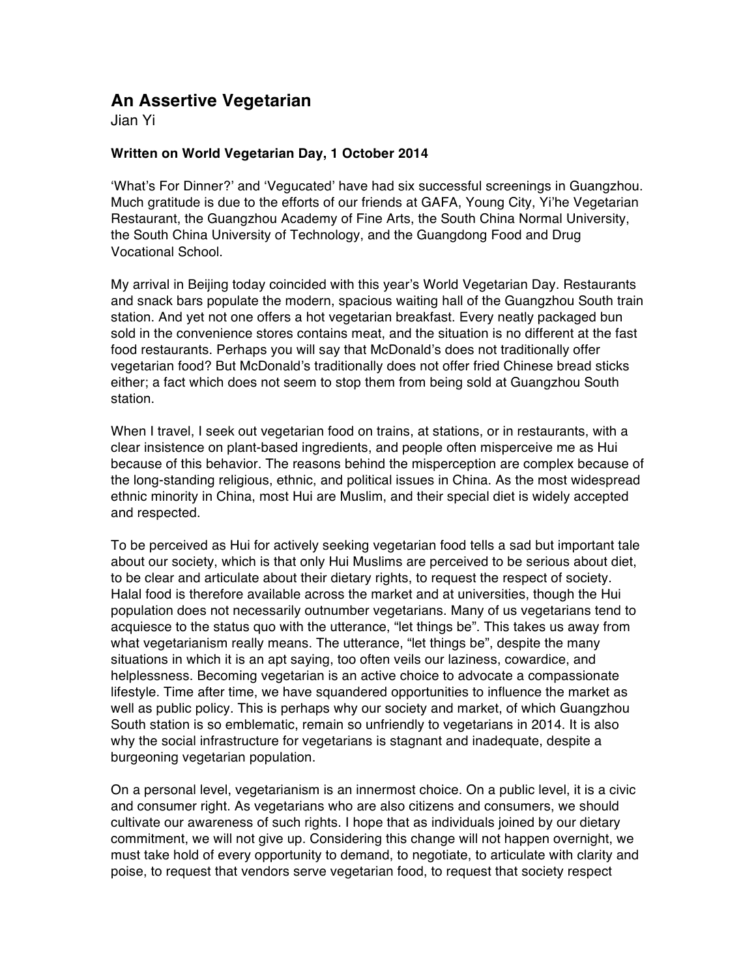## **An Assertive Vegetarian**

Jian Yi

## **Written on World Vegetarian Day, 1 October 2014**

'What's For Dinner?' and 'Vegucated' have had six successful screenings in Guangzhou. Much gratitude is due to the efforts of our friends at GAFA, Young City, Yi'he Vegetarian Restaurant, the Guangzhou Academy of Fine Arts, the South China Normal University, the South China University of Technology, and the Guangdong Food and Drug Vocational School.

My arrival in Beijing today coincided with this year's World Vegetarian Day. Restaurants and snack bars populate the modern, spacious waiting hall of the Guangzhou South train station. And yet not one offers a hot vegetarian breakfast. Every neatly packaged bun sold in the convenience stores contains meat, and the situation is no different at the fast food restaurants. Perhaps you will say that McDonald's does not traditionally offer vegetarian food? But McDonald's traditionally does not offer fried Chinese bread sticks either; a fact which does not seem to stop them from being sold at Guangzhou South station.

When I travel, I seek out vegetarian food on trains, at stations, or in restaurants, with a clear insistence on plant-based ingredients, and people often misperceive me as Hui because of this behavior. The reasons behind the misperception are complex because of the long-standing religious, ethnic, and political issues in China. As the most widespread ethnic minority in China, most Hui are Muslim, and their special diet is widely accepted and respected.

To be perceived as Hui for actively seeking vegetarian food tells a sad but important tale about our society, which is that only Hui Muslims are perceived to be serious about diet, to be clear and articulate about their dietary rights, to request the respect of society. Halal food is therefore available across the market and at universities, though the Hui population does not necessarily outnumber vegetarians. Many of us vegetarians tend to acquiesce to the status quo with the utterance, "let things be". This takes us away from what vegetarianism really means. The utterance, "let things be", despite the many situations in which it is an apt saying, too often veils our laziness, cowardice, and helplessness. Becoming vegetarian is an active choice to advocate a compassionate lifestyle. Time after time, we have squandered opportunities to influence the market as well as public policy. This is perhaps why our society and market, of which Guangzhou South station is so emblematic, remain so unfriendly to vegetarians in 2014. It is also why the social infrastructure for vegetarians is stagnant and inadequate, despite a burgeoning vegetarian population.

On a personal level, vegetarianism is an innermost choice. On a public level, it is a civic and consumer right. As vegetarians who are also citizens and consumers, we should cultivate our awareness of such rights. I hope that as individuals joined by our dietary commitment, we will not give up. Considering this change will not happen overnight, we must take hold of every opportunity to demand, to negotiate, to articulate with clarity and poise, to request that vendors serve vegetarian food, to request that society respect